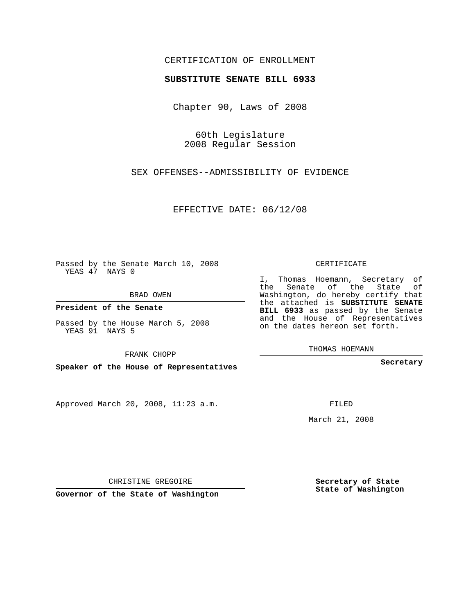## CERTIFICATION OF ENROLLMENT

#### **SUBSTITUTE SENATE BILL 6933**

Chapter 90, Laws of 2008

60th Legislature 2008 Regular Session

SEX OFFENSES--ADMISSIBILITY OF EVIDENCE

EFFECTIVE DATE: 06/12/08

Passed by the Senate March 10, 2008 YEAS 47 NAYS 0

BRAD OWEN

**President of the Senate**

Passed by the House March 5, 2008 YEAS 91 NAYS 5

FRANK CHOPP

**Speaker of the House of Representatives**

Approved March 20, 2008, 11:23 a.m.

CERTIFICATE

I, Thomas Hoemann, Secretary of the Senate of the State of Washington, do hereby certify that the attached is **SUBSTITUTE SENATE BILL 6933** as passed by the Senate and the House of Representatives on the dates hereon set forth.

THOMAS HOEMANN

**Secretary**

FILED

March 21, 2008

**Secretary of State State of Washington**

CHRISTINE GREGOIRE

**Governor of the State of Washington**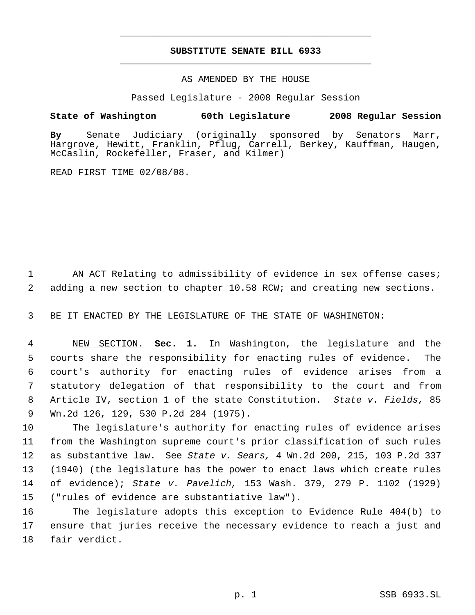# **SUBSTITUTE SENATE BILL 6933** \_\_\_\_\_\_\_\_\_\_\_\_\_\_\_\_\_\_\_\_\_\_\_\_\_\_\_\_\_\_\_\_\_\_\_\_\_\_\_\_\_\_\_\_\_

\_\_\_\_\_\_\_\_\_\_\_\_\_\_\_\_\_\_\_\_\_\_\_\_\_\_\_\_\_\_\_\_\_\_\_\_\_\_\_\_\_\_\_\_\_

### AS AMENDED BY THE HOUSE

Passed Legislature - 2008 Regular Session

## **State of Washington 60th Legislature 2008 Regular Session**

**By** Senate Judiciary (originally sponsored by Senators Marr, Hargrove, Hewitt, Franklin, Pflug, Carrell, Berkey, Kauffman, Haugen, McCaslin, Rockefeller, Fraser, and Kilmer)

READ FIRST TIME 02/08/08.

1 AN ACT Relating to admissibility of evidence in sex offense cases; 2 adding a new section to chapter 10.58 RCW; and creating new sections.

3 BE IT ENACTED BY THE LEGISLATURE OF THE STATE OF WASHINGTON:

 NEW SECTION. **Sec. 1.** In Washington, the legislature and the courts share the responsibility for enacting rules of evidence. The court's authority for enacting rules of evidence arises from a statutory delegation of that responsibility to the court and from Article IV, section 1 of the state Constitution. *State v. Fields,* 85 Wn.2d 126, 129, 530 P.2d 284 (1975).

 The legislature's authority for enacting rules of evidence arises from the Washington supreme court's prior classification of such rules as substantive law. See *State v. Sears,* 4 Wn.2d 200, 215, 103 P.2d 337 (1940) (the legislature has the power to enact laws which create rules of evidence); *State v. Pavelich,* 153 Wash. 379, 279 P. 1102 (1929) ("rules of evidence are substantiative law").

16 The legislature adopts this exception to Evidence Rule 404(b) to 17 ensure that juries receive the necessary evidence to reach a just and 18 fair verdict.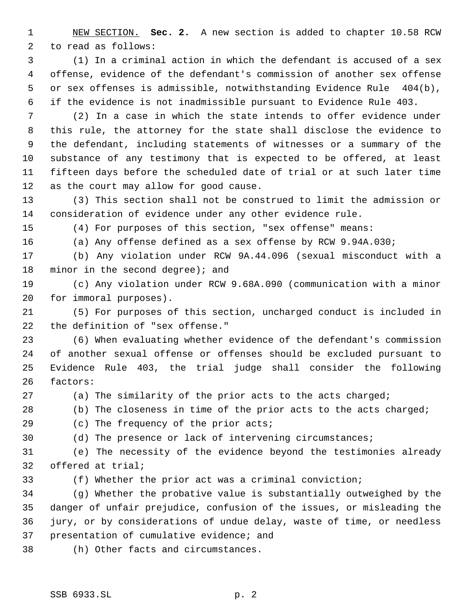NEW SECTION. **Sec. 2.** A new section is added to chapter 10.58 RCW to read as follows:

 (1) In a criminal action in which the defendant is accused of a sex offense, evidence of the defendant's commission of another sex offense or sex offenses is admissible, notwithstanding Evidence Rule 404(b), if the evidence is not inadmissible pursuant to Evidence Rule 403.

 (2) In a case in which the state intends to offer evidence under this rule, the attorney for the state shall disclose the evidence to the defendant, including statements of witnesses or a summary of the substance of any testimony that is expected to be offered, at least fifteen days before the scheduled date of trial or at such later time as the court may allow for good cause.

 (3) This section shall not be construed to limit the admission or consideration of evidence under any other evidence rule.

(4) For purposes of this section, "sex offense" means:

(a) Any offense defined as a sex offense by RCW 9.94A.030;

 (b) Any violation under RCW 9A.44.096 (sexual misconduct with a 18 minor in the second degree); and

 (c) Any violation under RCW 9.68A.090 (communication with a minor for immoral purposes).

 (5) For purposes of this section, uncharged conduct is included in the definition of "sex offense."

 (6) When evaluating whether evidence of the defendant's commission of another sexual offense or offenses should be excluded pursuant to Evidence Rule 403, the trial judge shall consider the following factors:

(a) The similarity of the prior acts to the acts charged;

28 (b) The closeness in time of the prior acts to the acts charged;

29 (c) The frequency of the prior acts;

(d) The presence or lack of intervening circumstances;

 (e) The necessity of the evidence beyond the testimonies already offered at trial;

(f) Whether the prior act was a criminal conviction;

 (g) Whether the probative value is substantially outweighed by the danger of unfair prejudice, confusion of the issues, or misleading the jury, or by considerations of undue delay, waste of time, or needless presentation of cumulative evidence; and

(h) Other facts and circumstances.